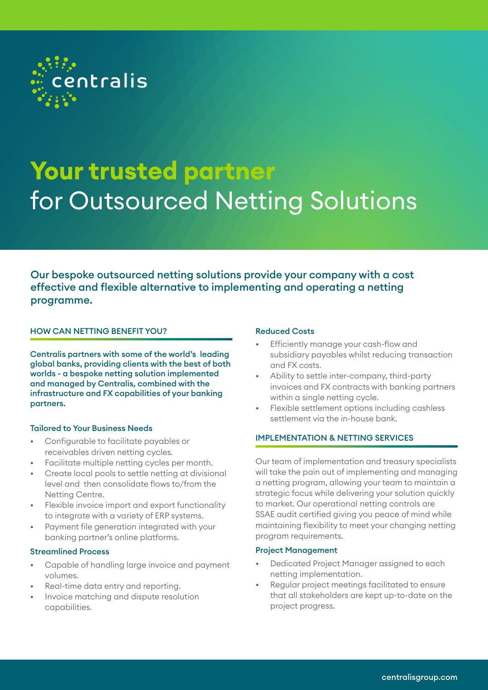

# **Your trusted partner** for Outsourced Netting Solutions

Our bespoke outsourced netting solutions provide your company with a cost effective and flexible alternative to implementing and operating a netting programme.

# HOW CAN NETTING BENEFIT YOU?

Centralis partners with some of the world's leading global banks, providing clients with the best of both worlds - a bespoke netting solution implemented and managed by Centralis, combined with the infrastructure and FX capabilities of your banking partners.

## Tailored to Your Business Needs

- Configurable to facilitate payables or receivables driven netting cycles.
- Facilitate multiple netting cycles per month.
- Create local pools to settle netting at divisional level and then consolidate flows to/from the Netting Centre.
- Flexible invoice import and export functionality to integrate with a variety of ERP systems.
- Payment file generation integrated with your banking partner's online platforms.

#### Streamlined Process

- Capable of handling large invoice and payment volumes.
- Real-time data entry and reporting.
- Invoice matching and dispute resolution capabilities.

#### Reduced Costs

- Efficiently manage your cash-flow and subsidiary payables whilst reducing transaction and FX costs.
- Ability to settle inter-company, third-party invoices and FX contracts with banking partners within a single netting cycle.
- Flexible settlement options including cashless settlement via the in-house bank.

## IMPLEMENTATION & NETTING SERVICES

Our team of implementation and treasury specialists will take the pain out of implementing and managing a netting program, allowing your team to maintain a strategic focus while delivering your solution quickly to market. Our operational netting controls are SSAE audit certified giving you peace of mind while maintaining flexibility to meet your changing netting program requirements.

#### Project Management

- Dedicated Project Manager assigned to each netting implementation.
- Regular project meetings facilitated to ensure that all stakeholders are kept up-to-date on the project progress.